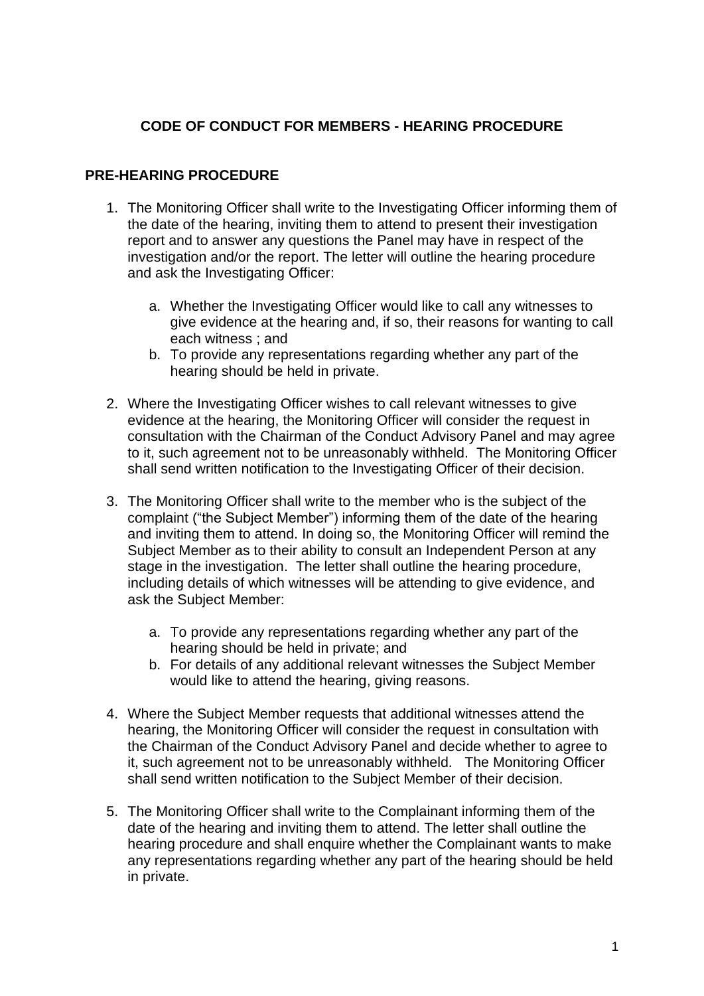## **CODE OF CONDUCT FOR MEMBERS - HEARING PROCEDURE**

#### **PRE-HEARING PROCEDURE**

- 1. The Monitoring Officer shall write to the Investigating Officer informing them of the date of the hearing, inviting them to attend to present their investigation report and to answer any questions the Panel may have in respect of the investigation and/or the report. The letter will outline the hearing procedure and ask the Investigating Officer:
	- a. Whether the Investigating Officer would like to call any witnesses to give evidence at the hearing and, if so, their reasons for wanting to call each witness ; and
	- b. To provide any representations regarding whether any part of the hearing should be held in private.
- 2. Where the Investigating Officer wishes to call relevant witnesses to give evidence at the hearing, the Monitoring Officer will consider the request in consultation with the Chairman of the Conduct Advisory Panel and may agree to it, such agreement not to be unreasonably withheld. The Monitoring Officer shall send written notification to the Investigating Officer of their decision.
- 3. The Monitoring Officer shall write to the member who is the subject of the complaint ("the Subject Member") informing them of the date of the hearing and inviting them to attend. In doing so, the Monitoring Officer will remind the Subject Member as to their ability to consult an Independent Person at any stage in the investigation. The letter shall outline the hearing procedure, including details of which witnesses will be attending to give evidence, and ask the Subject Member:
	- a. To provide any representations regarding whether any part of the hearing should be held in private; and
	- b. For details of any additional relevant witnesses the Subject Member would like to attend the hearing, giving reasons.
- 4. Where the Subject Member requests that additional witnesses attend the hearing, the Monitoring Officer will consider the request in consultation with the Chairman of the Conduct Advisory Panel and decide whether to agree to it, such agreement not to be unreasonably withheld. The Monitoring Officer shall send written notification to the Subject Member of their decision.
- 5. The Monitoring Officer shall write to the Complainant informing them of the date of the hearing and inviting them to attend. The letter shall outline the hearing procedure and shall enquire whether the Complainant wants to make any representations regarding whether any part of the hearing should be held in private.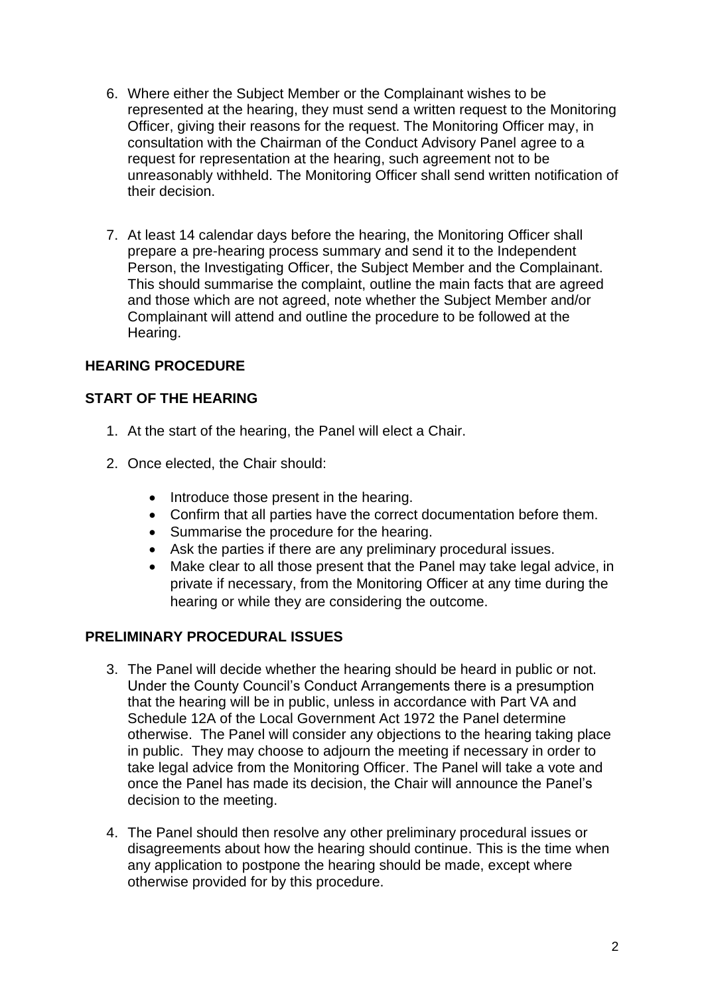- 6. Where either the Subject Member or the Complainant wishes to be represented at the hearing, they must send a written request to the Monitoring Officer, giving their reasons for the request. The Monitoring Officer may, in consultation with the Chairman of the Conduct Advisory Panel agree to a request for representation at the hearing, such agreement not to be unreasonably withheld. The Monitoring Officer shall send written notification of their decision.
- 7. At least 14 calendar days before the hearing, the Monitoring Officer shall prepare a pre-hearing process summary and send it to the Independent Person, the Investigating Officer, the Subject Member and the Complainant. This should summarise the complaint, outline the main facts that are agreed and those which are not agreed, note whether the Subject Member and/or Complainant will attend and outline the procedure to be followed at the Hearing.

# **HEARING PROCEDURE**

## **START OF THE HEARING**

- 1. At the start of the hearing, the Panel will elect a Chair.
- 2. Once elected, the Chair should:
	- Introduce those present in the hearing.
	- Confirm that all parties have the correct documentation before them.
	- Summarise the procedure for the hearing.
	- Ask the parties if there are any preliminary procedural issues.
	- Make clear to all those present that the Panel may take legal advice, in private if necessary, from the Monitoring Officer at any time during the hearing or while they are considering the outcome.

## **PRELIMINARY PROCEDURAL ISSUES**

- 3. The Panel will decide whether the hearing should be heard in public or not. Under the County Council's Conduct Arrangements there is a presumption that the hearing will be in public, unless in accordance with Part VA and Schedule 12A of the Local Government Act 1972 the Panel determine otherwise. The Panel will consider any objections to the hearing taking place in public. They may choose to adjourn the meeting if necessary in order to take legal advice from the Monitoring Officer. The Panel will take a vote and once the Panel has made its decision, the Chair will announce the Panel's decision to the meeting.
- 4. The Panel should then resolve any other preliminary procedural issues or disagreements about how the hearing should continue. This is the time when any application to postpone the hearing should be made, except where otherwise provided for by this procedure.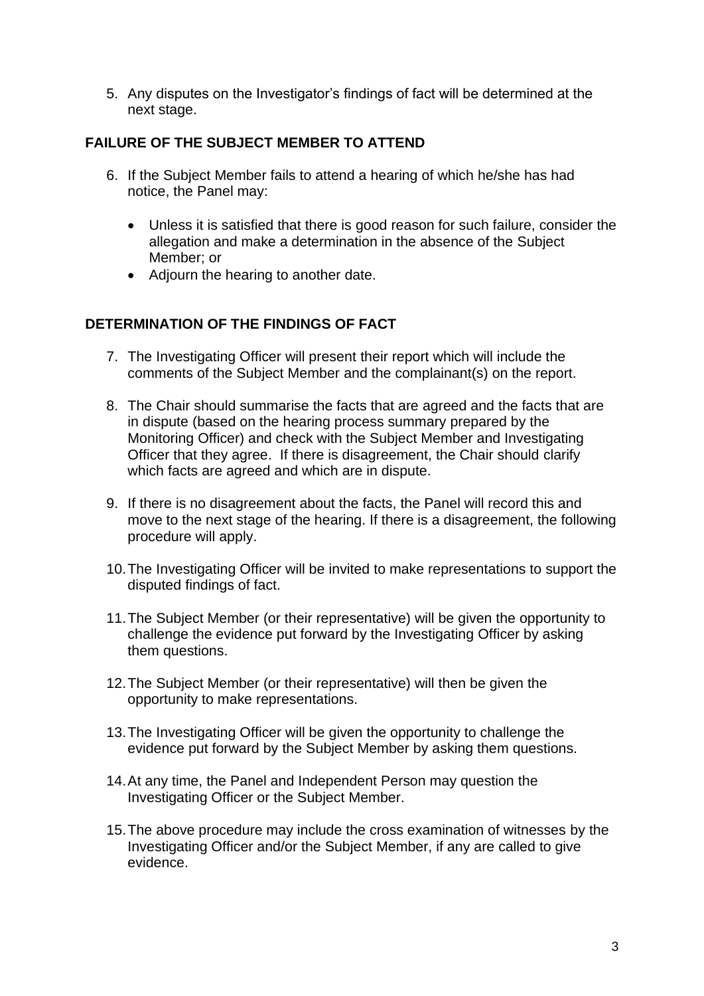5. Any disputes on the Investigator's findings of fact will be determined at the next stage.

## **FAILURE OF THE SUBJECT MEMBER TO ATTEND**

- 6. If the Subject Member fails to attend a hearing of which he/she has had notice, the Panel may:
	- Unless it is satisfied that there is good reason for such failure, consider the allegation and make a determination in the absence of the Subject Member; or
	- Adjourn the hearing to another date.

## **DETERMINATION OF THE FINDINGS OF FACT**

- 7. The Investigating Officer will present their report which will include the comments of the Subject Member and the complainant(s) on the report.
- 8. The Chair should summarise the facts that are agreed and the facts that are in dispute (based on the hearing process summary prepared by the Monitoring Officer) and check with the Subject Member and Investigating Officer that they agree. If there is disagreement, the Chair should clarify which facts are agreed and which are in dispute.
- 9. If there is no disagreement about the facts, the Panel will record this and move to the next stage of the hearing. If there is a disagreement, the following procedure will apply.
- 10.The Investigating Officer will be invited to make representations to support the disputed findings of fact.
- 11.The Subject Member (or their representative) will be given the opportunity to challenge the evidence put forward by the Investigating Officer by asking them questions.
- 12.The Subject Member (or their representative) will then be given the opportunity to make representations.
- 13.The Investigating Officer will be given the opportunity to challenge the evidence put forward by the Subject Member by asking them questions.
- 14.At any time, the Panel and Independent Person may question the Investigating Officer or the Subject Member.
- 15.The above procedure may include the cross examination of witnesses by the Investigating Officer and/or the Subject Member, if any are called to give evidence.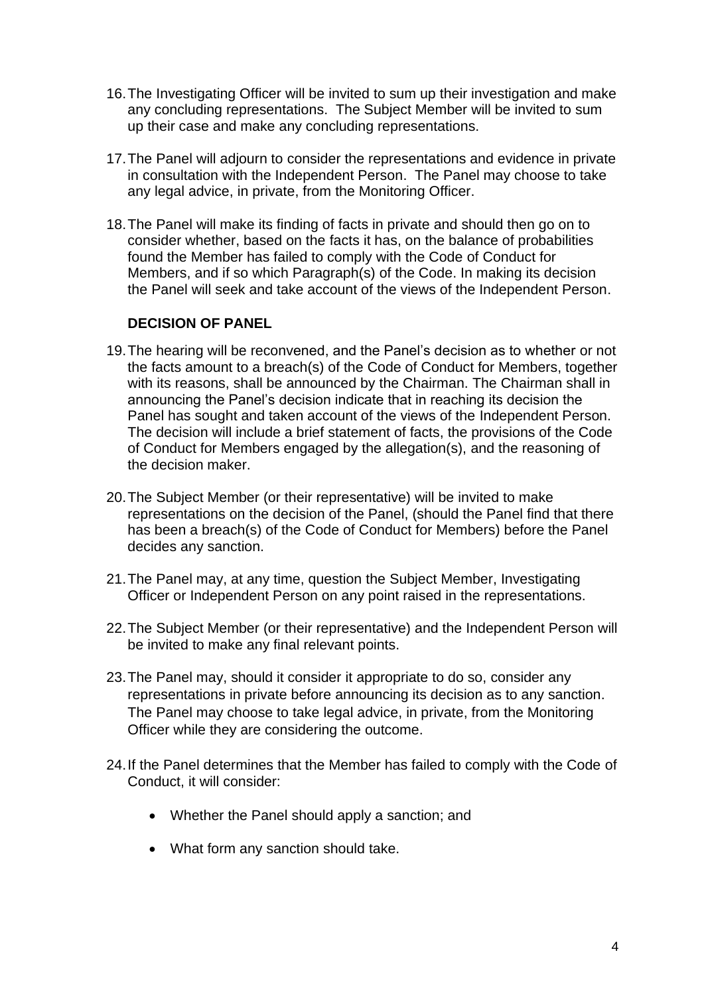- 16.The Investigating Officer will be invited to sum up their investigation and make any concluding representations. The Subject Member will be invited to sum up their case and make any concluding representations.
- 17.The Panel will adjourn to consider the representations and evidence in private in consultation with the Independent Person. The Panel may choose to take any legal advice, in private, from the Monitoring Officer.
- 18.The Panel will make its finding of facts in private and should then go on to consider whether, based on the facts it has, on the balance of probabilities found the Member has failed to comply with the Code of Conduct for Members, and if so which Paragraph(s) of the Code. In making its decision the Panel will seek and take account of the views of the Independent Person.

#### **DECISION OF PANEL**

- 19.The hearing will be reconvened, and the Panel's decision as to whether or not the facts amount to a breach(s) of the Code of Conduct for Members, together with its reasons, shall be announced by the Chairman. The Chairman shall in announcing the Panel's decision indicate that in reaching its decision the Panel has sought and taken account of the views of the Independent Person. The decision will include a brief statement of facts, the provisions of the Code of Conduct for Members engaged by the allegation(s), and the reasoning of the decision maker.
- 20.The Subject Member (or their representative) will be invited to make representations on the decision of the Panel, (should the Panel find that there has been a breach(s) of the Code of Conduct for Members) before the Panel decides any sanction.
- 21.The Panel may, at any time, question the Subject Member, Investigating Officer or Independent Person on any point raised in the representations.
- 22.The Subject Member (or their representative) and the Independent Person will be invited to make any final relevant points.
- 23.The Panel may, should it consider it appropriate to do so, consider any representations in private before announcing its decision as to any sanction. The Panel may choose to take legal advice, in private, from the Monitoring Officer while they are considering the outcome.
- 24.If the Panel determines that the Member has failed to comply with the Code of Conduct, it will consider:
	- Whether the Panel should apply a sanction; and
	- What form any sanction should take.